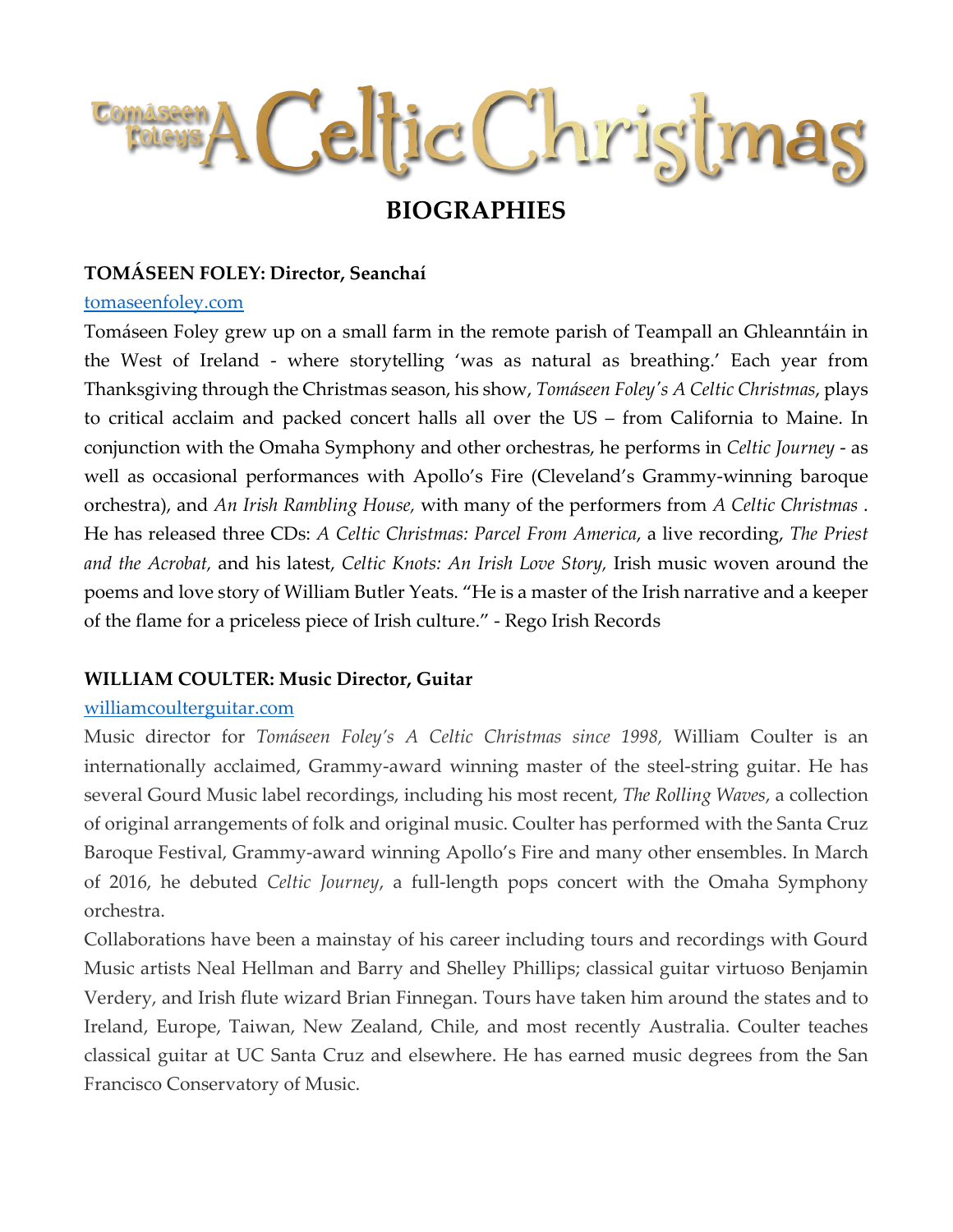# Celtic Christmas

# **BIOGRAPHIES**

#### **TOMÁSEEN FOLEY: Director, Seanchaí**

#### [tomaseenfoley.com](http://www.tomaseenfoley.com/)

Tomáseen Foley grew up on a small farm in the remote parish of Teampall an Ghleanntáin in the West of Ireland - where storytelling 'was as natural as breathing.' Each year from Thanksgiving through the Christmas season, his show, *Tomáseen Foley's A Celtic Christmas*, plays to critical acclaim and packed concert halls all over the US – from California to Maine. In conjunction with the Omaha Symphony and other orchestras, he performs in *Celtic Journey* - as well as occasional performances with Apollo's Fire (Cleveland's Grammy-winning baroque orchestra), and *An Irish Rambling House,* with many of the performers from *A Celtic Christmas* . He has released three CDs: *A Celtic Christmas: Parcel From America*, a live recording, *The Priest and the Acrobat,* and his latest, *Celtic Knots: An Irish Love Story,* Irish music woven around the poems and love story of William Butler Yeats. "He is a master of the Irish narrative and a keeper of the flame for a priceless piece of Irish culture." - Rego Irish Records

# **WILLIAM COULTER: Music Director, Guitar**

#### [williamcoulterguitar.com](http://www.williamcoulterguitar.com/)

Music director for *Tomáseen Foley's A Celtic Christmas since 1998,* William Coulter is an internationally acclaimed, Grammy-award winning master of the steel-string guitar. He has several Gourd Music label recordings, including his most recent, *[The Rolling Waves](https://www.gourd.com/152A.html)*, a collection of original arrangements of folk and original music. Coulter has performed with the Santa Cruz Baroque Festival, Grammy-award winning Apollo's Fire and many other ensembles. In March of 2016, he debuted *Celtic Journey*, a full-length pops concert with the Omaha Symphony orchestra.

Collaborations have been a mainstay of his career including tours and recordings with Gourd Music artists Neal Hellman and Barry and Shelley Phillips; classical guitar virtuoso Benjamin Verdery, and Irish flute wizard Brian Finnegan. Tours have taken him around the states and to Ireland, Europe, Taiwan, New Zealand, Chile, and most recently Australia. Coulter teaches classical guitar at UC Santa Cruz and elsewhere. He has earned music degrees from the San Francisco Conservatory of Music.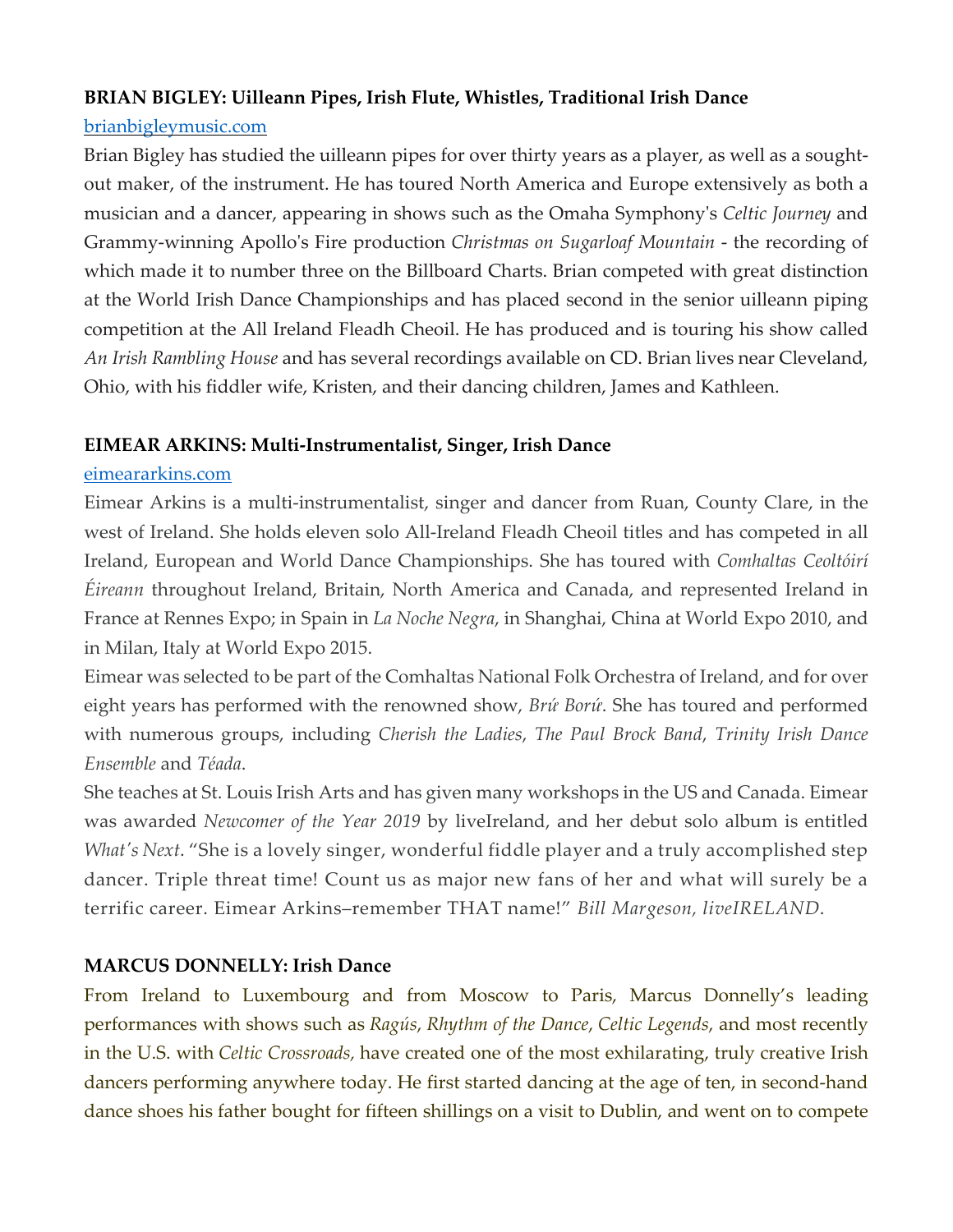#### **BRIAN BIGLEY: Uilleann Pipes, Irish Flute, Whistles, Traditional Irish Dance**

#### [brianbigleymusic.com](http://www.brianbigleymusic.com/)

Brian Bigley has studied the uilleann pipes for over thirty years as a player, as well as a soughtout maker, of the instrument. He has toured North America and Europe extensively as both a musician and a dancer, appearing in shows such as the Omaha Symphony's *Celtic Journey* and Grammy-winning Apollo's Fire production *Christmas on Sugarloaf Mountain* - the recording of which made it to number three on the Billboard Charts. Brian competed with great distinction at the World Irish Dance Championships and has placed second in the senior uilleann piping competition at the All Ireland Fleadh Cheoil. He has produced and is touring his show called *An Irish Rambling House* and has several recordings available on CD. Brian lives near Cleveland, Ohio, with his fiddler wife, Kristen, and their dancing children, James and Kathleen.

### **EIMEAR ARKINS: Multi-Instrumentalist, Singer, Irish Dance**

#### [eimeararkins.com](http://www.eimeararkins.com/)

Eimear Arkins is a multi-instrumentalist, singer and dancer from Ruan, County Clare, in the west of Ireland. She holds eleven solo All-Ireland Fleadh Cheoil titles and has competed in all Ireland, European and World Dance Championships. She has toured with *Comhaltas Ceoltóirí Éireann* throughout Ireland, Britain, North America and Canada, and represented Ireland in France at Rennes Expo; in Spain in *La Noche Negra*, in Shanghai, China at World Expo 2010, and in Milan, Italy at World Expo 2015.

Eimear was selected to be part of the Comhaltas National Folk Orchestra of Ireland, and for over eight years has performed with the renowned show, *Brứ Borứ*. She has toured and performed with numerous groups, including *Cherish the Ladies*, *The Paul Brock Band*, *Trinity Irish Dance Ensemble* and *Téada*.

She teaches at St. Louis Irish Arts and has given many workshops in the US and Canada. Eimear was awarded *Newcomer of the Year 2019* by liveIreland, and her debut solo album is entitled *What's Next*. "She is a lovely singer, wonderful fiddle player and a truly accomplished step dancer. Triple threat time! Count us as major new fans of her and what will surely be a terrific career. Eimear Arkins–remember THAT name!" *Bill Margeson, liveIRELAND*.

# **MARCUS DONNELLY: Irish Dance**

From Ireland to Luxembourg and from Moscow to Paris, Marcus Donnelly's leading performances with shows such as *Ragús*, *Rhythm of the Dance*, *Celtic Legends*, and most recently in the U.S. with *Celtic Crossroads,* have created one of the most exhilarating, truly creative Irish dancers performing anywhere today. He first started dancing at the age of ten, in second-hand dance shoes his father bought for fifteen shillings on a visit to Dublin, and went on to compete